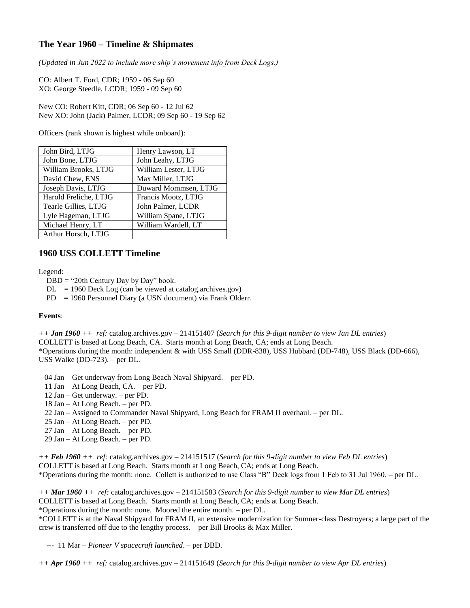## **The Year 1960 – Timeline & Shipmates**

*(Updated in Jun 2022 to include more ship's movement info from Deck Logs.)*

CO: Albert T. Ford, CDR; 1959 - 06 Sep 60 XO: George Steedle, LCDR; 1959 - 09 Sep 60

New CO: Robert Kitt, CDR; 06 Sep 60 - 12 Jul 62 New XO: John (Jack) Palmer, LCDR; 09 Sep 60 - 19 Sep 62

Officers (rank shown is highest while onboard):

| John Bird, LTJG       | Henry Lawson, LT     |
|-----------------------|----------------------|
| John Bone, LTJG       | John Leahy, LTJG     |
| William Brooks, LTJG  | William Lester, LTJG |
| David Chew, ENS       | Max Miller, LTJG     |
| Joseph Davis, LTJG    | Duward Mommsen, LTJG |
| Harold Freliche, LTJG | Francis Mootz, LTJG  |
| Tearle Gillies, LTJG  | John Palmer, LCDR    |
| Lyle Hageman, LTJG    | William Spane, LTJG  |
| Michael Henry, LT     | William Wardell, LT  |
| Arthur Horsch, LTJG   |                      |

## **1960 USS COLLETT Timeline**

Legend:

- DBD = "20th Century Day by Day" book.
- $DL = 1960$  Deck Log (can be viewed at catalog.archives.gov)
- PD = 1960 Personnel Diary (a USN document) via Frank Olderr.

## **Events**:

*++ Jan 1960 ++ ref:* catalog.archives.gov – 214151407 (*Search for this 9-digit number to view Jan DL entries*) COLLETT is based at Long Beach, CA. Starts month at Long Beach, CA; ends at Long Beach. \*Operations during the month: independent & with USS Small (DDR-838), USS Hubbard (DD-748), USS Black (DD-666), USS Walke (DD-723). – per DL.

04 Jan – Get underway from Long Beach Naval Shipyard. – per PD.

- 11 Jan At Long Beach, CA. per PD.
- 12 Jan Get underway. per PD.
- 18 Jan At Long Beach. per PD.
- 22 Jan Assigned to Commander Naval Shipyard, Long Beach for FRAM II overhaul. per DL.
- 25 Jan At Long Beach. per PD.
- 27 Jan At Long Beach. per PD.
- 29 Jan At Long Beach. per PD.

*++ Feb 1960 ++ ref:* catalog.archives.gov – 214151517 (*Search for this 9-digit number to view Feb DL entries*) COLLETT is based at Long Beach. Starts month at Long Beach, CA; ends at Long Beach. \*Operations during the month: none. Collett is authorized to use Class "B" Deck logs from 1 Feb to 31 Jul 1960. – per DL.

*++ Mar 1960 ++ ref:* catalog.archives.gov – 214151583 (*Search for this 9-digit number to view Mar DL entries*) COLLETT is based at Long Beach. Starts month at Long Beach, CA; ends at Long Beach. \*Operations during the month: none. Moored the entire month. – per DL.

\*COLLETT is at the Naval Shipyard for FRAM II, an extensive modernization for Sumner-class Destroyers; a large part of the crew is transferred off due to the lengthy process. – per Bill Brooks & Max Miller.

--- 11 Mar – *Pioneer V spacecraft launched*. – per DBD.

*++ Apr 1960 ++ ref:* catalog.archives.gov – 214151649 (*Search for this 9-digit number to view Apr DL entries*)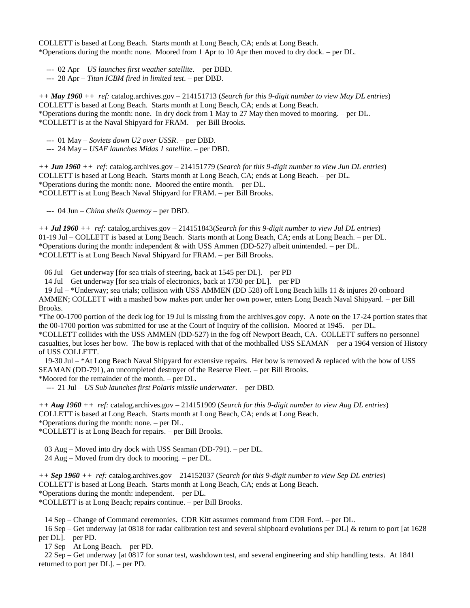COLLETT is based at Long Beach. Starts month at Long Beach, CA; ends at Long Beach. \*Operations during the month: none. Moored from 1 Apr to 10 Apr then moved to dry dock. – per DL.

--- 02 Apr – *US launches first weather satellite*. – per DBD.

--- 28 Apr – *Titan ICBM fired in limited test*. – per DBD.

*++ May 1960 ++ ref:* catalog.archives.gov – 214151713 (*Search for this 9-digit number to view May DL entries*) COLLETT is based at Long Beach. Starts month at Long Beach, CA; ends at Long Beach. \*Operations during the month: none. In dry dock from 1 May to 27 May then moved to mooring. – per DL. \*COLLETT is at the Naval Shipyard for FRAM. – per Bill Brooks.

--- 01 May – *Soviets down U2 over USSR*. – per DBD.

--- 24 May – *USAF launches Midas 1 satellite*. – per DBD.

*++ Jun 1960 ++ ref:* catalog.archives.gov – 214151779 (*Search for this 9-digit number to view Jun DL entries*) COLLETT is based at Long Beach. Starts month at Long Beach, CA; ends at Long Beach. – per DL. \*Operations during the month: none. Moored the entire month. – per DL. \*COLLETT is at Long Beach Naval Shipyard for FRAM. – per Bill Brooks.

--- 04 Jun – *China shells Quemoy* – per DBD.

*++ Jul 1960 ++ ref:* catalog.archives.gov – 214151843(*Search for this 9-digit number to view Jul DL entries*) 01-19 Jul – COLLETT is based at Long Beach. Starts month at Long Beach, CA; ends at Long Beach. – per DL. \*Operations during the month: independent & with USS Ammen (DD-527) albeit unintended. – per DL. \*COLLETT is at Long Beach Naval Shipyard for FRAM. – per Bill Brooks.

06 Jul – Get underway [for sea trials of steering, back at 1545 per DL]. – per PD

14 Jul – Get underway [for sea trials of electronics, back at 1730 per DL]. – per PD

 19 Jul – \*Underway; sea trials; collision with USS AMMEN (DD 528) off Long Beach kills 11 & injures 20 onboard AMMEN; COLLETT with a mashed bow makes port under her own power, enters Long Beach Naval Shipyard. – per Bill Brooks.

\*The 00-1700 portion of the deck log for 19 Jul is missing from the archives.gov copy. A note on the 17-24 portion states that the 00-1700 portion was submitted for use at the Court of Inquiry of the collision. Moored at 1945. – per DL.

\*COLLETT collides with the USS AMMEN (DD-527) in the fog off Newport Beach, CA. COLLETT suffers no personnel casualties, but loses her bow. The bow is replaced with that of the mothballed USS SEAMAN – per a 1964 version of History of USS COLLETT.

19-30 Jul – \*At Long Beach Naval Shipyard for extensive repairs. Her bow is removed & replaced with the bow of USS SEAMAN (DD-791), an uncompleted destroyer of the Reserve Fleet. – per Bill Brooks.

\*Moored for the remainder of the month. – per DL.

--- 21 Jul – *US Sub launches first Polaris missile underwater.* – per DBD.

*++ Aug 1960 ++ ref:* catalog.archives.gov – 214151909 (*Search for this 9-digit number to view Aug DL entries*) COLLETT is based at Long Beach. Starts month at Long Beach, CA; ends at Long Beach. \*Operations during the month: none. – per DL.

\*COLLETT is at Long Beach for repairs. – per Bill Brooks.

03 Aug – Moved into dry dock with USS Seaman (DD-791). – per DL.

24 Aug – Moved from dry dock to mooring. – per DL.

*++ Sep 1960 ++ ref:* catalog.archives.gov – 214152037 (*Search for this 9-digit number to view Sep DL entries*) COLLETT is based at Long Beach. Starts month at Long Beach, CA; ends at Long Beach. \*Operations during the month: independent. – per DL.

\*COLLETT is at Long Beach; repairs continue. – per Bill Brooks.

14 Sep – Change of Command ceremonies. CDR Kitt assumes command from CDR Ford. – per DL.

 16 Sep – Get underway [at 0818 for radar calibration test and several shipboard evolutions per DL] & return to port [at 1628 per DL]. – per PD.

17 Sep – At Long Beach. – per PD.

 22 Sep – Get underway [at 0817 for sonar test, washdown test, and several engineering and ship handling tests. At 1841 returned to port per DL]. – per PD.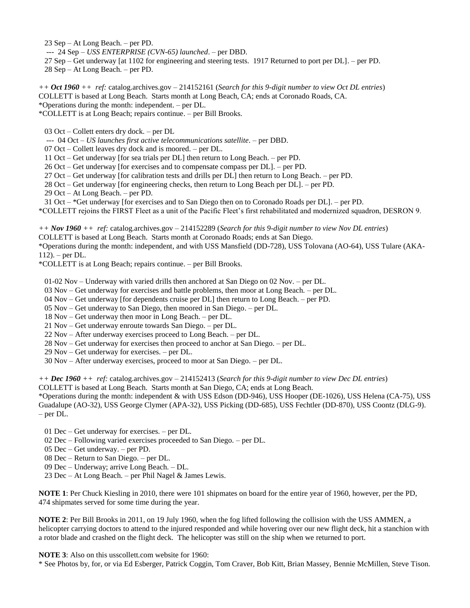23 Sep – At Long Beach. – per PD.

--- 24 Sep – *USS ENTERPRISE (CVN-65) launched*. – per DBD.

 27 Sep – Get underway [at 1102 for engineering and steering tests. 1917 Returned to port per DL]. – per PD. 28 Sep – At Long Beach. – per PD.

*++ Oct 1960 ++ ref:* catalog.archives.gov – 214152161 (*Search for this 9-digit number to view Oct DL entries*) COLLETT is based at Long Beach. Starts month at Long Beach, CA; ends at Coronado Roads, CA. \*Operations during the month: independent. – per DL.

\*COLLETT is at Long Beach; repairs continue. – per Bill Brooks.

03 Oct – Collett enters dry dock. – per DL

--- 04 Oct – *US launches first active telecommunications satellite*. – per DBD.

07 Oct – Collett leaves dry dock and is moored. – per DL.

11 Oct – Get underway [for sea trials per DL] then return to Long Beach. – per PD.

26 Oct – Get underway [for exercises and to compensate compass per DL]. – per PD.

27 Oct – Get underway [for calibration tests and drills per DL] then return to Long Beach. – per PD.

28 Oct – Get underway [for engineering checks, then return to Long Beach per DL]. – per PD.

29 Oct – At Long Beach. – per PD.

31 Oct – \*Get underway [for exercises and to San Diego then on to Coronado Roads per DL]. – per PD.

\*COLLETT rejoins the FIRST Fleet as a unit of the Pacific Fleet's first rehabilitated and modernized squadron, DESRON 9.

*++ Nov 1960 ++ ref:* catalog.archives.gov – 214152289 (*Search for this 9-digit number to view Nov DL entries*) COLLETT is based at Long Beach. Starts month at Coronado Roads; ends at San Diego.

\*Operations during the month: independent, and with USS Mansfield (DD-728), USS Tolovana (AO-64), USS Tulare (AKA-112). – per DL.

\*COLLETT is at Long Beach; repairs continue. – per Bill Brooks.

01-02 Nov – Underway with varied drills then anchored at San Diego on 02 Nov. – per DL.

03 Nov – Get underway for exercises and battle problems, then moor at Long Beach. – per DL.

04 Nov – Get underway [for dependents cruise per DL] then return to Long Beach. – per PD.

05 Nov – Get underway to San Diego, then moored in San Diego. – per DL.

18 Nov – Get underway then moor in Long Beach. – per DL.

21 Nov – Get underway enroute towards San Diego. – per DL.

22 Nov – After underway exercises proceed to Long Beach. – per DL.

28 Nov – Get underway for exercises then proceed to anchor at San Diego. – per DL.

29 Nov – Get underway for exercises. – per DL.

30 Nov – After underway exercises, proceed to moor at San Diego. – per DL.

*++ Dec 1960 ++ ref:* catalog.archives.gov – 214152413 (*Search for this 9-digit number to view Dec DL entries*)

COLLETT is based at Long Beach. Starts month at San Diego, CA; ends at Long Beach.

\*Operations during the month: independent & with USS Edson (DD-946), USS Hooper (DE-1026), USS Helena (CA-75), USS Guadalupe (AO-32), USS George Clymer (APA-32), USS Picking (DD-685), USS Fechtler (DD-870), USS Coontz (DLG-9). – per DL.

01 Dec – Get underway for exercises. – per DL.

02 Dec – Following varied exercises proceeded to San Diego. – per DL.

05 Dec – Get underway. – per PD.

08 Dec – Return to San Diego. – per DL.

09 Dec – Underway; arrive Long Beach. – DL.

23 Dec – At Long Beach. – per Phil Nagel & James Lewis.

**NOTE 1**: Per Chuck Kiesling in 2010, there were 101 shipmates on board for the entire year of 1960, however, per the PD, 474 shipmates served for some time during the year.

**NOTE 2**: Per Bill Brooks in 2011, on 19 July 1960, when the fog lifted following the collision with the USS AMMEN, a helicopter carrying doctors to attend to the injured responded and while hovering over our new flight deck, hit a stanchion with a rotor blade and crashed on the flight deck. The helicopter was still on the ship when we returned to port.

**NOTE 3**: Also on this usscollett.com website for 1960:

\* See Photos by, for, or via Ed Esberger, Patrick Coggin, Tom Craver, Bob Kitt, Brian Massey, Bennie McMillen, Steve Tison.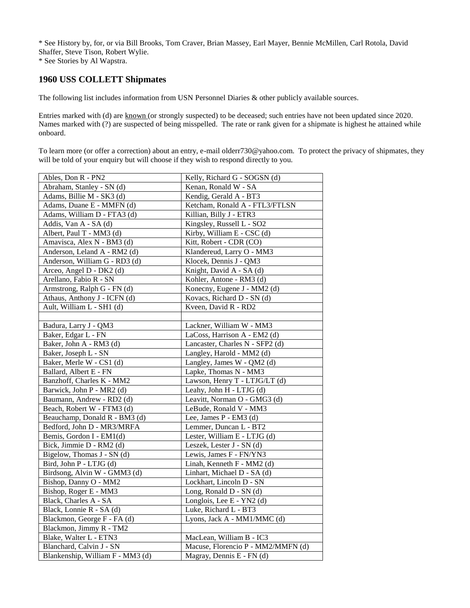\* See History by, for, or via Bill Brooks, Tom Craver, Brian Massey, Earl Mayer, Bennie McMillen, Carl Rotola, David Shaffer, Steve Tison, Robert Wylie.

\* See Stories by Al Wapstra.

## **1960 USS COLLETT Shipmates**

The following list includes information from USN Personnel Diaries & other publicly available sources.

Entries marked with (d) are known (or strongly suspected) to be deceased; such entries have not been updated since 2020. Names marked with (?) are suspected of being misspelled. The rate or rank given for a shipmate is highest he attained while onboard.

To learn more (or offer a correction) about an entry, e-mail olderr730@yahoo.com. To protect the privacy of shipmates, they will be told of your enquiry but will choose if they wish to respond directly to you.

| Ables, Don R - PN2               | Kelly, Richard G - SOGSN (d)       |
|----------------------------------|------------------------------------|
| Abraham, Stanley - SN (d)        | Kenan, Ronald W - SA               |
| Adams, Billie M - SK3 (d)        | Kendig, Gerald A - BT3             |
| Adams, Duane E - MMFN (d)        | Ketcham, Ronald A - FTL3/FTLSN     |
| Adams, William D - FTA3 (d)      | Killian, Billy J - ETR3            |
| Addis, Van A - SA (d)            | Kingsley, Russell L - SO2          |
| Albert, Paul T - MM3 (d)         | Kirby, William E - CSC (d)         |
| Amavisca, Alex N - BM3 (d)       | Kitt, Robert - CDR (CO)            |
| Anderson, Leland A - RM2 (d)     | Klandereud, Larry O - MM3          |
| Anderson, William G - RD3 (d)    | Klocek, Dennis J - QM3             |
| Arceo, Angel D - DK2 (d)         | Knight, David A - SA (d)           |
| Arellano, Fabio R - SN           | Kohler, Antone - RM3 (d)           |
| Armstrong, Ralph G - FN (d)      | Konecny, Eugene J - MM2 (d)        |
| Athaus, Anthony J - ICFN (d)     | Kovacs, Richard D - SN (d)         |
| Ault, William L - SH1 (d)        | Kveen, David R - RD2               |
|                                  |                                    |
| Badura, Larry J - QM3            | Lackner, William W - MM3           |
| Baker, Edgar L - FN              | LaCoss, Harrison A - EM2 (d)       |
| Baker, John A - RM3 (d)          | Lancaster, Charles N - SFP2 (d)    |
| Baker, Joseph L - SN             | Langley, Harold - MM2 (d)          |
| Baker, Merle W - CS1 (d)         | Langley, James W - QM2 (d)         |
| Ballard, Albert E - FN           | Lapke, Thomas N - MM3              |
| Banzhoff, Charles K - MM2        | Lawson, Henry T - LTJG/LT (d)      |
| Barwick, John P - MR2 (d)        | Leahy, John H - LTJG (d)           |
| Baumann, Andrew - RD2 (d)        | Leavitt, Norman O - GMG3 (d)       |
| Beach, Robert W - FTM3 (d)       | LeBude, Ronald V - MM3             |
| Beauchamp, Donald R - BM3 (d)    | Lee, James P - EM3 (d)             |
| Bedford, John D - MR3/MRFA       | Lemmer, Duncan L - BT2             |
| Bemis, Gordon I - EM1(d)         | Lester, William E - LTJG (d)       |
| Bick, Jimmie D - RM2 (d)         | Leszek, Lester J - SN (d)          |
| Bigelow, Thomas J - SN (d)       | Lewis, James F - FN/YN3            |
| Bird, John P - LTJG (d)          | Linah, Kenneth F - MM2 (d)         |
| Birdsong, Alvin W - GMM3 (d)     | Linhart, Michael D - SA (d)        |
| Bishop, Danny O - MM2            | Lockhart, Lincoln D - SN           |
| Bishop, Roger E - MM3            | Long, Ronald D - SN (d)            |
| Black, Charles A - SA            | Longlois, Lee E - YN2 (d)          |
| Black, Lonnie R - SA (d)         | Luke, Richard L - BT3              |
| Blackmon, George F - FA (d)      | Lyons, Jack A - MM1/MMC (d)        |
| Blackmon, Jimmy R - TM2          |                                    |
| Blake, Walter L - ETN3           | MacLean, William B - IC3           |
| Blanchard, Calvin J - SN         | Macuse, Florencio P - MM2/MMFN (d) |
| Blankenship, William F - MM3 (d) | Magray, Dennis E - FN (d)          |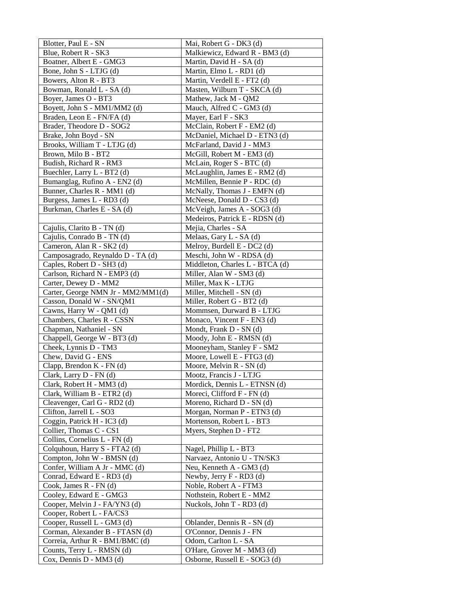| Blotter, Paul E - SN                                          | Mai, Robert G - DK3 (d)                                     |
|---------------------------------------------------------------|-------------------------------------------------------------|
| Blue, Robert R - SK3                                          | Malkiewicz, Edward R - BM3 (d)                              |
| Boatner, Albert E - GMG3                                      | Martin, David H - SA (d)                                    |
| Bone, John S - LTJG (d)                                       | Martin, Elmo L - RD1 (d)                                    |
| Bowers, Alton R - BT3                                         | Martin, Verdell E - FT2 (d)                                 |
| Bowman, Ronald L - SA (d)                                     | Masten, Wilburn T - SKCA (d)                                |
| Boyer, James O - BT3                                          | Mathew, Jack M - QM2                                        |
| Boyett, John S - MM1/MM2 (d)                                  | Mauch, Alfred C - GM3 (d)                                   |
| Braden, Leon E - FN/FA (d)                                    | Mayer, Earl F - SK3                                         |
| Brader, Theodore D - SOG2                                     | McClain, Robert F - EM2 (d)                                 |
| Brake, John Boyd - SN                                         | McDaniel, Michael D - ETN3 (d)                              |
| Brooks, William T - LTJG (d)                                  | McFarland, David J - MM3                                    |
| Brown, Milo B - BT2                                           | McGill, Robert M - EM3 (d)                                  |
| Budish, Richard R - RM3                                       | McLain, Roger S - BTC (d)                                   |
| Buechler, Larry L - BT2 (d)                                   | McLaughlin, James E - RM2 (d)                               |
| Bumanglag, Rufino A - EN2 (d)                                 | McMillen, Bennie P - RDC (d)                                |
| Bunner, Charles R - MM1 (d)                                   | McNally, Thomas J - EMFN (d)                                |
| Burgess, James L - RD3 (d)                                    | McNeese, Donald D - CS3 (d)                                 |
| Burkman, Charles E - SA (d)                                   | McVeigh, James A - SOG3 (d)                                 |
|                                                               | Medeiros, Patrick E - RDSN (d)                              |
| Cajulis, Clarito B - TN (d)                                   | Mejia, Charles - SA                                         |
| Cajulis, Conrado B - TN (d)                                   | Melaas, Gary L - SA (d)                                     |
| Cameron, Alan R - SK2 (d)                                     | Melroy, Burdell E - DC2 (d)                                 |
| Camposagrado, Reynaldo D - TA (d)                             | Meschi, John W - RDSA (d)                                   |
| Caples, Robert D - SH3 (d)                                    | Middleton, Charles L - BTCA (d)                             |
| Carlson, Richard N - EMP3 (d)                                 | Miller, Alan W - SM3 (d)                                    |
| Carter, Dewey D - MM2                                         | Miller, Max K - LTJG                                        |
| Carter, George NMN Jr - MM2/MM1(d)                            | Miller, Mitchell - SN (d)                                   |
| Casson, Donald W - SN/QM1                                     | Miller, Robert G - BT2 (d)                                  |
| Cawns, Harry W - QM1 (d)                                      | Mommsen, Durward B - LTJG                                   |
| Chambers, Charles R - CSSN                                    | Monaco, Vincent F - EN3 (d)                                 |
| Chapman, Nathaniel - SN                                       | Mondt, Frank D - SN (d)                                     |
| Chappell, George W - BT3 (d)                                  | Moody, John E - RMSN (d)                                    |
| Cheek, Lynnis D - TM3                                         | Mooneyham, Stanley F - SM2                                  |
| Chew, David G - ENS                                           | Moore, Lowell E - FTG3 (d)                                  |
| Clapp, Brendon $K$ - $FN$ (d)                                 | Moore, Melvin R - SN (d)                                    |
| Clark, Larry D - FN (d)                                       | Mootz, Francis J - LTJG                                     |
| Clark, Robert H - MM3 (d)                                     | Mordick, Dennis L - ETNSN (d)                               |
| Clark, William B - ETR2 (d)                                   | Moreci, Clifford F - FN (d)                                 |
| Cleavenger, Carl G - RD2 (d)                                  | Moreno, Richard D - SN (d)                                  |
| Clifton, Jarrell L - SO3                                      | Morgan, Norman P - ETN3 (d)                                 |
| Coggin, Patrick H - IC3 (d)                                   | Mortenson, Robert L - BT3                                   |
| Collier, Thomas C - CS1                                       | Myers, Stephen D - FT2                                      |
| Collins, Cornelius L - FN (d)                                 |                                                             |
| Colquhoun, Harry S - FTA2 (d)                                 | Nagel, Phillip L - BT3                                      |
| Compton, John W - BMSN (d)                                    | Narvaez, Antonio U - TN/SK3                                 |
| Confer, William A Jr - MMC (d)                                | Neu, Kenneth A - GM3 (d)                                    |
| Conrad, Edward E - RD3 (d)                                    | Newby, Jerry F - RD3 (d)                                    |
| Cook, James R - FN (d)                                        | Noble, Robert A - FTM3                                      |
| Cooley, Edward E - GMG3                                       | Nothstein, Robert E - MM2                                   |
| Cooper, Melvin J - FA/YN3 (d)                                 | Nuckols, John T - RD3 (d)                                   |
| Cooper, Robert L - FA/CS3                                     |                                                             |
| Cooper, Russell L - GM3 (d)                                   | Oblander, Dennis R - SN (d)                                 |
| Corman, Alexander B - FTASN (d)                               | O'Connor, Dennis J - FN<br>Odom, Carlton L - SA             |
| Correia, Arthur R - BM1/BMC (d)<br>Counts, Terry L - RMSN (d) |                                                             |
|                                                               | O'Hare, Grover M - MM3 (d)<br>Osborne, Russell E - SOG3 (d) |
| Cox, Dennis D - MM3 (d)                                       |                                                             |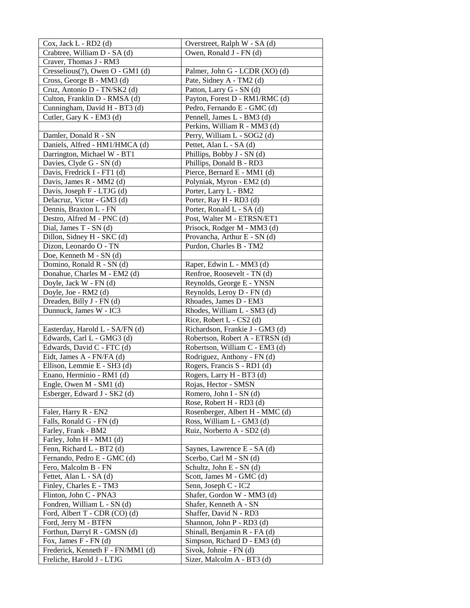| $Cox$ , Jack $L$ - RD2 (d)                           | Overstreet, Ralph W - SA (d)                        |
|------------------------------------------------------|-----------------------------------------------------|
| Crabtree, William D - SA (d)                         | Owen, Ronald J - FN (d)                             |
| Craver, Thomas J - RM3                               |                                                     |
| Cresselious $(?)$ , Owen O - GM1 $(d)$               | Palmer, John G - LCDR (XO) (d)                      |
| Cross, George B - MM3 (d)                            | Pate, Sidney A - TM2 (d)                            |
| Cruz, Antonio D - TN/SK2 (d)                         | Patton, Larry G - SN (d)                            |
| Culton, Franklin D - RMSA (d)                        | Payton, Forest D - RM1/RMC (d)                      |
| Cunningham, David H - BT3 (d)                        | Pedro, Fernando E - GMC (d)                         |
| Cutler, Gary K - EM3 (d)                             | Pennell, James L - BM3 (d)                          |
|                                                      | Perkins, William R - MM3 (d)                        |
| Damler, Donald R - SN                                | Perry, William L - SOG2 (d)                         |
| Daniels, Alfred - HM1/HMCA (d)                       | Pettet, Alan L - SA (d)                             |
| Darrington, Michael W - BT1                          | Phillips, Bobby J - SN (d)                          |
| Davies, Clyde G - SN (d)                             | Phillips, Donald B - RD3                            |
| Davis, Fredrick I - FT1 (d)                          | Pierce, Bernard E - MM1 (d)                         |
| Davis, James R - MM2 (d)                             | Polyniak, Myron - EM2 (d)                           |
| Davis, Joseph F - LTJG (d)                           | Porter, Larry L - BM2                               |
| Delacruz, Victor - GM3 (d)                           | Porter, Ray H - RD3 (d)                             |
| Dennis, Braxton L - FN                               | Porter, Ronald L - SA (d)                           |
| Destro, Alfred M - PNC (d)                           | Post, Walter M - ETRSN/ET1                          |
| Dial, James T - SN (d)                               | Prisock, Rodger M - MM3 (d)                         |
| Dillon, Sidney H - SKC (d)                           | Provancha, Arthur E - SN (d)                        |
| Dizon, Leonardo O - TN                               | Purdon, Charles B - TM2                             |
| Doe, Kenneth M - SN (d)                              |                                                     |
| Domino, Ronald R - SN (d)                            | Raper, Edwin L - MM3 (d)                            |
| Donahue, Charles M - EM2 (d)                         | Renfroe, Roosevelt - TN (d)                         |
| Doyle, Jack W - FN (d)                               | Reynolds, George E - YNSN                           |
| Doyle, Joe - RM2 (d)                                 | Reynolds, Leroy D - FN (d)                          |
| Dreaden, Billy J - FN (d)                            | Rhoades, James D - EM3                              |
| Dunnuck, James W - IC3                               | Rhodes, William L - SM3 (d)                         |
|                                                      | Rice, Robert L - CS2 (d)                            |
| Easterday, Harold L - SA/FN (d)                      | Richardson, Frankie J - GM3 (d)                     |
| Edwards, Carl L - GMG3 (d)                           | Robertson, Robert A - ETRSN (d)                     |
| Edwards, David C - FTC (d)                           | Robertson, William C - EM3 (d)                      |
| Eidt, James A - FN/FA (d)                            | Rodriguez, Anthony - FN (d)                         |
| Ellison, Lemmie E - SH3 (d)                          | Rogers, Francis S - RD1 (d)                         |
| Enano, Herminio - RM1 (d)<br>Engle, Owen M - SM1 (d) | Rogers, Larry H - BT3 (d)<br>Rojas, Hector - SMSN   |
|                                                      |                                                     |
| Esberger, Edward J - SK2 (d)                         | Romero, John I - SN (d)<br>Rose, Robert H - RD3 (d) |
| Faler, Harry R - EN2                                 | Rosenberger, Albert H - MMC (d)                     |
| Falls, Ronald G - FN (d)                             | Ross, William L - GM3 (d)                           |
| Farley, Frank - BM2                                  | Ruiz, Norberto A - SD2 (d)                          |
| Farley, John H - MM1 (d)                             |                                                     |
| Fenn, Richard L - BT2 (d)                            | Saynes, Lawrence E - SA (d)                         |
| Fernando, Pedro E - GMC (d)                          | Scerbo, Carl M - SN (d)                             |
| Fero, Malcolm B - FN                                 | Schultz, John E - SN (d)                            |
| Fettet, Alan L - SA (d)                              | Scott, James M - GMC (d)                            |
| Finley, Charles E - TM3                              | Senn, Joseph C - IC2                                |
| Flinton, John C - PNA3                               | Shafer, Gordon W - MM3 (d)                          |
| Fondren, William L - SN (d)                          | Shafer, Kenneth A - SN                              |
| Ford, Albert T - CDR (CO) (d)                        | Shaffer, David N - RD3                              |
| Ford, Jerry M - BTFN                                 | Shannon, John P - RD3 (d)                           |
| Forthun, Darryl R - GMSN (d)                         | Shinall, Benjamin R - FA (d)                        |
| Fox, James F - FN (d)                                | Simpson, Richard D - EM3 (d)                        |
| Frederick, Kenneth F - FN/MM1 (d)                    | Sivok, Johnie - FN (d)                              |
| Freliche, Harold J - LTJG                            | Sizer, Malcolm A - BT3 (d)                          |
|                                                      |                                                     |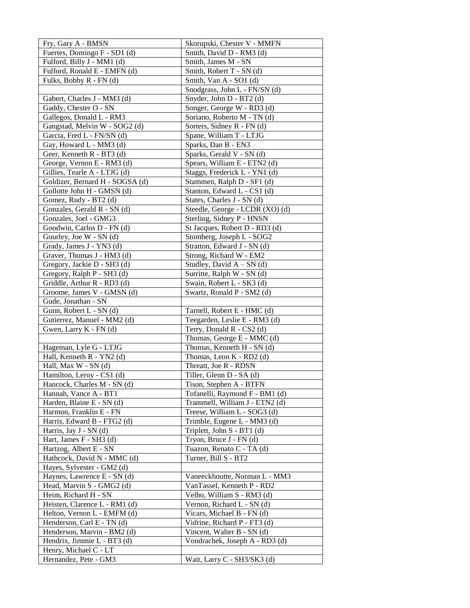| Fry, Gary A - BMSN                             | Skorupski, Chester V - MMFN     |
|------------------------------------------------|---------------------------------|
| Fuertes, Domingo F - SD1 (d)                   | Smith, David D - RM3 (d)        |
| Fulford, Billy J - MM1 (d)                     | Smith, James M - SN             |
| Fulford, Ronald E - EMFN (d)                   | Smith, Robert T - SN (d)        |
| Fulks, Bobby R - FN (d)                        | Smith, Van A - SO1 (d)          |
|                                                | Snodgrass, John L - FN/SN (d)   |
| Gabert, Charles J - MM3 (d)                    | Snyder, John D - BT2 (d)        |
| Gaddy, Chester O - SN                          | Songer, George W - RD3 (d)      |
| Gallegos, Donald L - RM3                       | Soriano, Roberto M - TN (d)     |
| Gangstad, Melvin W - SOG2 (d)                  | Sorters, Sidney R - FN (d)      |
| Garcia, Fred L - FN/SN (d)                     | Spane, William T - LTJG         |
| Gay, Howard L - MM3 (d)                        | Sparks, Dan B - EN3             |
| Geer, Kenneth R - BT3 (d)                      | Sparks, Gerald V - SN (d)       |
| George, Vernon E - RM3 (d)                     | Spears, William E - ETN2 (d)    |
| Gillies, Tearle A - LTJG (d)                   | Staggs, Frederick L - YN1 (d)   |
| Goldizer, Bernard H - SOGSA (d)                | Stammen, Ralph D - SF1 (d)      |
| Gollotte John H - GMSN (d)                     | Stanton, Edward L - CS1 (d)     |
| Gomez, Rudy - BT2 (d)                          | States, Charles J - SN (d)      |
| Gonzales, Gerald R - SN (d)                    | Steedle, George - LCDR (XO) (d) |
| Gonzales, Joel - GMG3                          | Sterling, Sidney P - HNSN       |
| Goodwin, Carlos D - FN (d)                     | St Jacques, Robert D - RD3 (d)  |
| Gourley, Joe W - SN (d)                        | Stomberg, Joseph L - SOG2       |
| Grady, James J - YN3 (d)                       | Stratton, Edward J - SN (d)     |
| Graver, Thomas J - HM3 (d)                     | Strong, Richard W - EM2         |
| Gregory, Jackie D - SH3 (d)                    | Studley, David $A - SN$ (d)     |
| Gregory, Ralph P - SH3 (d)                     | Surritte, Ralph W - SN (d)      |
| Griddle, Arthur R - RD3 (d)                    | Swain, Robert L - SK3 (d)       |
| Groome, James V - GMSN (d)                     | Swartz, Ronald P - SM2 (d)      |
| Gude, Jonathan - SN                            |                                 |
| Gunn, Robert L - SN (d)                        | Tarnell, Robert E - HMC (d)     |
| Gutierrez, Manuel - MM2 (d)                    | Teegarden, Leslie E - RM3 (d)   |
| Gwen, Larry K - FN (d)                         | Terry, Donald R - CS2 (d)       |
|                                                | Thomas, George E - MMC (d)      |
| Hageman, Lyle G - LTJG                         | Thomas, Kenneth H - SN (d)      |
| Hall, Kenneth R - YN2 (d)                      | Thomas, Leon K - RD2 (d)        |
| Hall, Max W - SN (d)                           | Threatt, Joe R - RDSN           |
| Hamilton, Leroy - CS1 (d)                      | Tiller, Glenn D - SA (d)        |
| Hancock, Charles M - SN (d)                    | Tison, Stephen A - BTFN         |
| Hannah, Vance A - BT1                          | Tofanelli, Raymond F - BM1 (d)  |
| Harden, Blaine E - SN (d)                      | Trammell, William J - ETN2 (d)  |
| Harmon, Franklin E - FN                        | Treese, William L - SOG3 (d)    |
| Harris, Edward B - FTG2 (d)                    | Trimble, Eugene L - MM3 (d)     |
| Harris, Jay J - SN (d)                         | Triplett, John S - BT1 (d)      |
| Hart, James F - SH3 (d)                        | Tryon, Bruce J - FN (d)         |
| Hartzog, Albert E - SN                         | Tuazon, Renato C - TA (d)       |
| Hathcock, David N - MMC (d)                    | Turner, Bill S - BT2            |
| Hayes, Sylvester - GM2 (d)                     |                                 |
| Haynes, Lawrence E - SN (d)                    | Vaneeckhoutte, Norman L - MM3   |
| Head, Marvin S - GMG2 (d)                      | VanTassel, Kenneth P - RD2      |
| Heim, Richard H - SN                           | Velho, William S - RM3 (d)      |
| Heisten, Clarence L - RM1 (d)                  | Vernon, Richard L - SN (d)      |
| Helton, Vernon L - EMFM (d)                    | Vicars, Michael B - FN (d)      |
| Henderson, Carl E - TN (d)                     | Vidrine, Richard P - FT3 (d)    |
| Henderson, Marvin - BM2 (d)                    | Vincent, Walter B - SN (d)      |
| Hendrix, Jimmie L - BT3 (d)                    | Vondrachek, Joseph A - RD3 (d)  |
|                                                |                                 |
| Henry, Michael C - LT<br>Hernandez, Pete - GM3 | Wait, Larry C - SH3/SK3 (d)     |